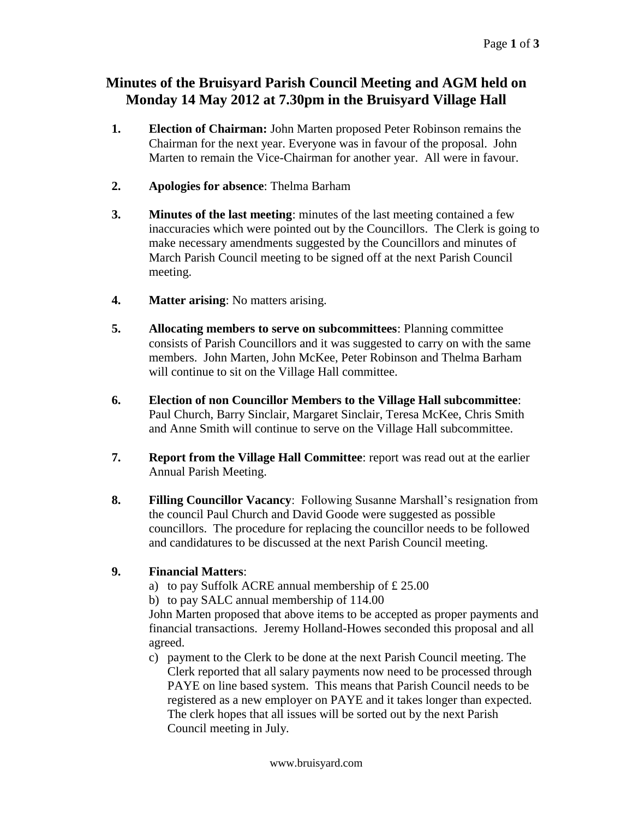## **Minutes of the Bruisyard Parish Council Meeting and AGM held on Monday 14 May 2012 at 7.30pm in the Bruisyard Village Hall**

- **1. Election of Chairman:** John Marten proposed Peter Robinson remains the Chairman for the next year. Everyone was in favour of the proposal. John Marten to remain the Vice-Chairman for another year. All were in favour.
- **2. Apologies for absence**: Thelma Barham
- **3. Minutes of the last meeting**: minutes of the last meeting contained a few inaccuracies which were pointed out by the Councillors. The Clerk is going to make necessary amendments suggested by the Councillors and minutes of March Parish Council meeting to be signed off at the next Parish Council meeting.
- **4. Matter arising**: No matters arising.
- **5. Allocating members to serve on subcommittees**: Planning committee consists of Parish Councillors and it was suggested to carry on with the same members. John Marten, John McKee, Peter Robinson and Thelma Barham will continue to sit on the Village Hall committee.
- **6. Election of non Councillor Members to the Village Hall subcommittee**: Paul Church, Barry Sinclair, Margaret Sinclair, Teresa McKee, Chris Smith and Anne Smith will continue to serve on the Village Hall subcommittee.
- **7. Report from the Village Hall Committee**: report was read out at the earlier Annual Parish Meeting.
- **8. Filling Councillor Vacancy**: Following Susanne Marshall's resignation from the council Paul Church and David Goode were suggested as possible councillors. The procedure for replacing the councillor needs to be followed and candidatures to be discussed at the next Parish Council meeting.

### **9. Financial Matters**:

- a) to pay Suffolk ACRE annual membership of  $£ 25.00$
- b) to pay SALC annual membership of 114.00

John Marten proposed that above items to be accepted as proper payments and financial transactions. Jeremy Holland-Howes seconded this proposal and all agreed.

c) payment to the Clerk to be done at the next Parish Council meeting. The Clerk reported that all salary payments now need to be processed through PAYE on line based system. This means that Parish Council needs to be registered as a new employer on PAYE and it takes longer than expected. The clerk hopes that all issues will be sorted out by the next Parish Council meeting in July.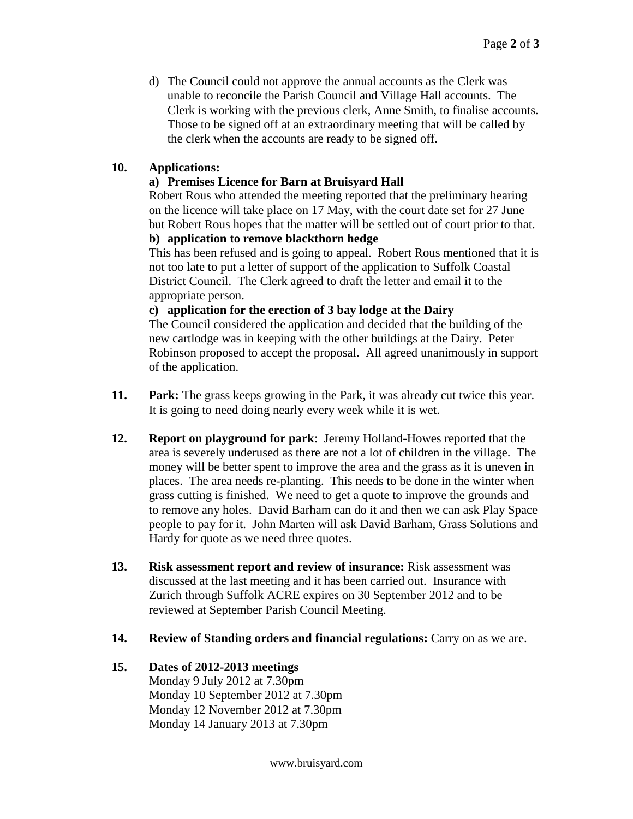d) The Council could not approve the annual accounts as the Clerk was unable to reconcile the Parish Council and Village Hall accounts. The Clerk is working with the previous clerk, Anne Smith, to finalise accounts. Those to be signed off at an extraordinary meeting that will be called by the clerk when the accounts are ready to be signed off.

### **10. Applications:**

### **a) Premises Licence for Barn at Bruisyard Hall**

Robert Rous who attended the meeting reported that the preliminary hearing on the licence will take place on 17 May, with the court date set for 27 June but Robert Rous hopes that the matter will be settled out of court prior to that.

# **b) application to remove blackthorn hedge**

This has been refused and is going to appeal. Robert Rous mentioned that it is not too late to put a letter of support of the application to Suffolk Coastal District Council. The Clerk agreed to draft the letter and email it to the appropriate person.

#### **c) application for the erection of 3 bay lodge at the Dairy**

The Council considered the application and decided that the building of the new cartlodge was in keeping with the other buildings at the Dairy. Peter Robinson proposed to accept the proposal. All agreed unanimously in support of the application.

- **11. Park:** The grass keeps growing in the Park, it was already cut twice this year. It is going to need doing nearly every week while it is wet.
- **12. Report on playground for park**: Jeremy Holland-Howes reported that the area is severely underused as there are not a lot of children in the village. The money will be better spent to improve the area and the grass as it is uneven in places. The area needs re-planting. This needs to be done in the winter when grass cutting is finished. We need to get a quote to improve the grounds and to remove any holes. David Barham can do it and then we can ask Play Space people to pay for it. John Marten will ask David Barham, Grass Solutions and Hardy for quote as we need three quotes.
- **13. Risk assessment report and review of insurance:** Risk assessment was discussed at the last meeting and it has been carried out. Insurance with Zurich through Suffolk ACRE expires on 30 September 2012 and to be reviewed at September Parish Council Meeting.
- **14. Review of Standing orders and financial regulations:** Carry on as we are.

## **15. Dates of 2012-2013 meetings**

Monday 9 July 2012 at 7.30pm Monday 10 September 2012 at 7.30pm Monday 12 November 2012 at 7.30pm Monday 14 January 2013 at 7.30pm